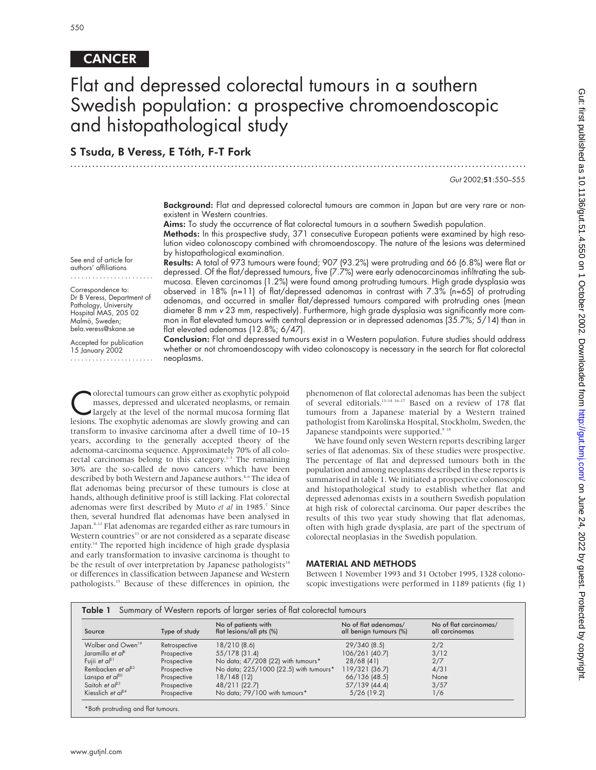## **CANCER**

See end of article for authors' affiliations ....................... Correspondence to: Dr B Veress, Department of Pathology, University Hospital MAS, 205 02 Malmö, Sweden; bela.veress@skane.se Accepted for publication 15 January 2002 .......................

# Flat and depressed colorectal tumours in a southern Swedish population: a prospective chromoendoscopic and histopathological study

.............................................................................................................................

## S Tsuda, B Veress, E Tóth, F-T Fork

Gut 2002;51:550–555

**Background:** Flat and depressed colorectal tumours are common in Japan but are very rare or nonexistent in Western countries.

Aims: To study the occurrence of flat colorectal tumours in a southern Swedish population.

Methods: In this prospective study, 371 consecutive European patients were examined by high resolution video colonoscopy combined with chromoendoscopy. The nature of the lesions was determined by histopathological examination.

Results: A total of 973 tumours were found; 907 (93.2%) were protruding and 66 (6.8%) were flat or depressed. Of the flat/depressed tumours, five (7.7%) were early adenocarcinomas infiltrating the submucosa. Eleven carcinomas (1.2%) were found among protruding tumours. High grade dysplasia was observed in 18% (n=11) of flat/depressed adenomas in contrast with 7.3% (n=65) of protruding adenomas, and occurred in smaller flat/depressed tumours compared with protruding ones (mean diameter 8 mm <sup>v</sup> 23 mm, respectively). Furthermore, high grade dysplasia was significantly more common in flat elevated tumours with central depression or in depressed adenomas (35.7%; 5/14) than in flat elevated adenomas (12.8%; 6/47).

Conclusion: Flat and depressed tumours exist in a Western population. Future studies should address whether or not chromoendoscopy with video colonoscopy is necessary in the search for flat colorectal neoplasms.

Colorectal tumours can grow either as exophytic polypoid<br>
masses, depressed and ulcerated neoplasms, or remain<br>
largely at the level of the normal mucosa forming flat<br>
lesions. The exophytic adenomas are slowly growing and masses, depressed and ulcerated neoplasms, or remain lesions. The exophytic adenomas are slowly growing and can transform to invasive carcinoma after a dwell time of 10–15 years, according to the generally accepted theory of the adenoma-carcinoma sequence. Approximately 70% of all colorectal carcinomas belong to this category.<sup>1-3</sup> The remaining 30% are the so-called de novo cancers which have been described by both Western and Japanese authors.<sup>4-6</sup> The idea of flat adenomas being precursor of these tumours is close at hands, although definitive proof is still lacking. Flat colorectal adenomas were first described by Muto et al in 1985.<sup>7</sup> Since then, several hundred flat adenomas have been analysed in Japan.<sup>8-12</sup> Flat adenomas are regarded either as rare tumours in Western countries<sup>13</sup> or are not considered as a separate disease entity.<sup>14</sup> The reported high incidence of high grade dysplasia and early transformation to invasive carcinoma is thought to be the result of over interpretation by Japanese pathologists $14$ or differences in classification between Japanese and Western pathologists.15 Because of these differences in opinion, the

phenomenon of flat colorectal adenomas has been the subject of several editorials.13–14 16–17 Based on a review of 178 flat tumours from a Japanese material by a Western trained pathologist from Karolinska Hospital, Stockholm, Sweden, the Japanese standpoints were supported.<sup>9 18</sup>

We have found only seven Western reports describing larger series of flat adenomas. Six of these studies were prospective. The percentage of flat and depressed tumours both in the population and among neoplasms described in these reports is summarised in table 1. We initiated a prospective colonoscopic and histopathological study to establish whether flat and depressed adenomas exists in a southern Swedish population at high risk of colorectal carcinoma. Our paper describes the results of this two year study showing that flat adenomas, often with high grade dysplasia, are part of the spectrum of colorectal neoplasias in the Swedish population.

#### MATERIAL AND METHODS

Between 1 November 1993 and 31 October 1995, 1328 colonoscopic investigations were performed in 1189 patients (fig 1)

| Source                        | Type of study | No of patients with<br>flat lesions/all pts (%) | No of flat adenomas/<br>all benign tumours (%) | No of flat carcinomas/<br>all carcinomas |
|-------------------------------|---------------|-------------------------------------------------|------------------------------------------------|------------------------------------------|
| Wolber and Owen <sup>19</sup> | Retrospective | 18/210 (8.6)                                    | 29/340 (8.5)                                   | 2/2                                      |
| Jaramillo et al <sup>6</sup>  | Prospective   | 55/178 (31.4)                                   | 106/261 (40.7)                                 | 3/12                                     |
| Fujii et $a^{p}$              | Prospective   | No data; 47/208 (22) with tumours*              | $28/68$ (41)                                   | 2/7                                      |
| Rembacken et $a^{22}$         | Prospective   | No data; 225/1000 (22.5) with tumours*          | 119/321 (36.7)                                 | 4/31                                     |
| Lanspa et $a^{p}$             | Prospective   | 18/148(12)                                      | 66/136 (48.5)                                  | None                                     |
| Saitoh et $a^{23}$            | Prospective   | 48/211 (22.7)                                   | 57/139 (44.4)                                  | 3/57                                     |
| Kiesslich et $a^{p4}$         | Prospective   | No data; 79/100 with tumours*                   | $5/26$ (19.2)                                  | 1/6                                      |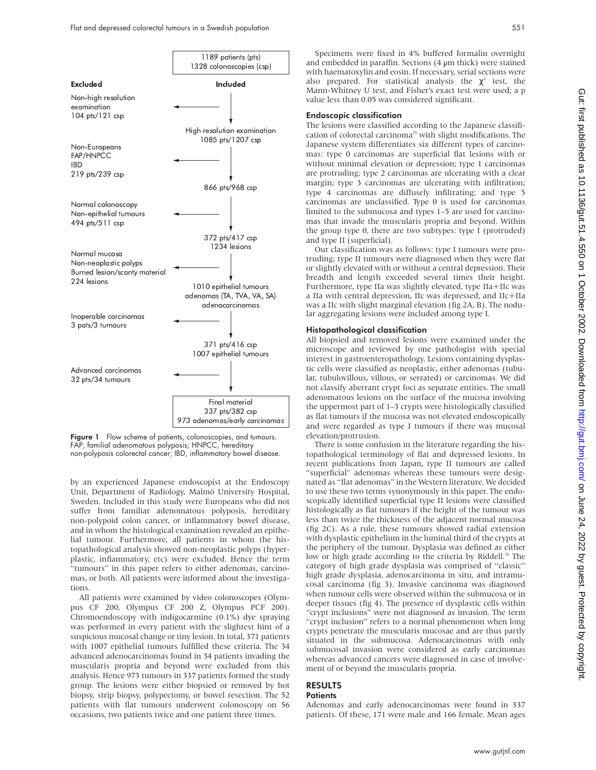

Figure 1 Flow scheme of patients, colonoscopies, and tumours. FAP, familial adenomatous polyposis; HNPCC, hereditary non-polyposis colorectal cancer; IBD, inflammatory bowel disease.

by an experienced Japanese endoscopist at the Endoscopy Unit, Department of Radiology, Malmö University Hospital, Sweden. Included in this study were Europeans who did not suffer from familiar adenomatous polyposis, hereditary non-polypoid colon cancer, or inflammatory bowel disease, and in whom the histological examination revealed an epithelial tumour. Furthermore, all patients in whom the histopathological analysis showed non-neoplastic polyps (hyperplastic, inflammatory, etc) were excluded. Hence the term "tumours" in this paper refers to either adenomas, carcinomas, or both. All patients were informed about the investigations.

All patients were examined by video colonoscopes (Olympus CF 200, Olympus CF 200 Z, Olympus PCF 200). Chromoendoscopy with indigocarmine (0.1%) dye spraying was performed in every patient with the slightest hint of a suspicious mucosal change or tiny lesion. In total, 371 patients with 1007 epithelial tumours fulfilled these criteria. The 34 advanced adenocarcinomas found in 34 patients invading the muscularis propria and beyond were excluded from this analysis. Hence 973 tumours in 337 patients formed the study group. The lesions were either biopsied or removed by hot biopsy, strip biopsy, polypectomy, or bowel resection. The 52 patients with flat tumours underwent colonoscopy on 56 occasions, two patients twice and one patient three times.

### Endoscopic classification

The lesions were classified according to the Japanese classification of colorectal carcinoma<sup>25</sup> with slight modifications. The Japanese system differentiates six different types of carcinomas: type 0 carcinomas are superficial flat lesions with or without minimal elevation or depression; type 1 carcinomas are protruding; type 2 carcinomas are ulcerating with a clear margin; type 3 carcinomas are ulcerating with infiltration; type 4 carcinomas are diffusely infiltrating; and type 5 carcinomas are unclassified. Type 0 is used for carcinomas limited to the submucosa and types 1–5 are used for carcinomas that invade the muscularis propria and beyond. Within the group type 0, there are two subtypes: type I (protruded) and type II (superficial).

Our classification was as follows: type I tumours were protruding; type II tumours were diagnosed when they were flat or slightly elevated with or without a central depression. Their breadth and length exceeded several times their height. Furthermore, type IIa was slightly elevated, type IIa+IIc was a IIa with central depression, IIc was depressed, and IIc+IIa was a IIc with slight marginal elevation (fig 2A, B). The nodular aggregating lesions were included among type I.

#### Histopathological classification

All biopsied and removed lesions were examined under the microscope and reviewed by one pathologist with special interest in gastroenteropathology. Lesions containing dysplastic cells were classified as neoplastic, either adenomas (tubular, tubulovillous, villous, or serrated) or carcinomas. We did not classify aberrant crypt foci as separate entities. The small adenomatous lesions on the surface of the mucosa involving the uppermost part of 1–3 crypts were histologically classified as flat tumours if the mucosa was not elevated endoscopically and were regarded as type I tumours if there was mucosal elevation/protrusion.

There is some confusion in the literature regarding the histopathological terminology of flat and depressed lesions. In recent publications from Japan, type II tumours are called "superficial" adenomas whereas these tumours were designated as "flat adenomas" in the Western literature. We decided to use these two terms synonymously in this paper. The endoscopically identified superficial type II lesions were classified histologically as flat tumours if the height of the tumour was less than twice the thickness of the adjacent normal mucosa (fig 2C). As a rule, these tumours showed radial extension with dysplastic epithelium in the luminal third of the crypts at the periphery of the tumour. Dysplasia was defined as either low or high grade according to the criteria by Riddell.<sup>26</sup> The category of high grade dysplasia was comprised of "classic" high grade dysplasia, adenocarcinoma in situ, and intramucosal carcinoma (fig 3). Invasive carcinoma was diagnosed when tumour cells were observed within the submucosa or in deeper tissues (fig 4). The presence of dysplastic cells within "crypt inclusions" were not diagnosed as invasion. The term "crypt inclusion" refers to a normal phenomenon when long crypts penetrate the muscularis mucosae and are thus partly situated in the submucosa. Adenocarcinomas with only submucosal invasion were considered as early carcinomas whereas advanced cancers were diagnosed in case of involvement of or beyond the muscularis propria.

#### RESULTS **Patients**

Adenomas and early adenocarcinomas were found in 337 patients. Of these, 171 were male and 166 female. Mean ages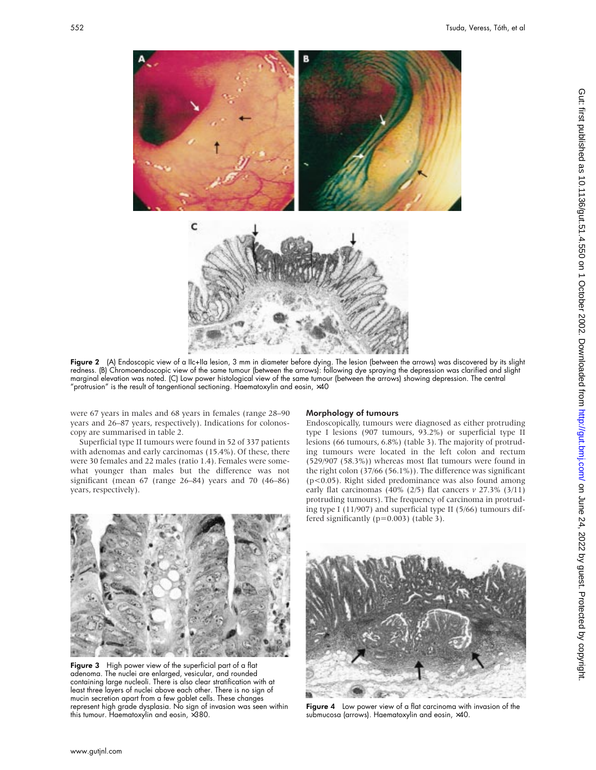

**Figure 2** (A) Endoscopic view of a IIc+IIa lesion, 3 mm in diameter before dying. The lesion (between the arrows) was discovered by its slight redness. (B) Chromoendoscopic view of the same tumour (between the arrows): following dye spraying the depression was clarified and slight marginal elevation was noted. (C) Low power histological view of the same tumour (between the arrows) showing depression. The central "protrusion" is the result of tangentional sectioning. Haematoxylin and eosin,  $\times 40$ 

were 67 years in males and 68 years in females (range 28–90 years and 26–87 years, respectively). Indications for colonoscopy are summarised in table 2.

Superficial type II tumours were found in 52 of 337 patients with adenomas and early carcinomas (15.4%). Of these, there were 30 females and 22 males (ratio 1.4). Females were somewhat younger than males but the difference was not significant (mean 67 (range 26–84) years and 70 (46–86) years, respectively).

#### Morphology of tumours

Endoscopically, tumours were diagnosed as either protruding type I lesions (907 tumours, 93.2%) or superficial type II lesions (66 tumours, 6.8%) (table 3). The majority of protruding tumours were located in the left colon and rectum (529/907 (58.3%)) whereas most flat tumours were found in the right colon (37/66 (56.1%)). The difference was significant (p<0.05). Right sided predominance was also found among early flat carcinomas (40% (2/5) flat cancers *v* 27.3% (3/11) protruding tumours). The frequency of carcinoma in protruding type I (11/907) and superficial type II (5/66) tumours differed significantly (p=0.003) (table 3).



Figure 3 High power view of the superficial part of a flat adenoma. The nuclei are enlarged, vesicular, and rounded containing large nucleoli. There is also clear stratification with at least three layers of nuclei above each other. There is no sign of mucin secretion apart from a few goblet cells. These changes represent high grade dysplasia. No sign of invasion was seen within this tumour. Haematoxylin and eosin, ×380.



Figure 4 Low power view of a flat carcinoma with invasion of the submucosa (arrows). Haematoxylin and eosin, ×40.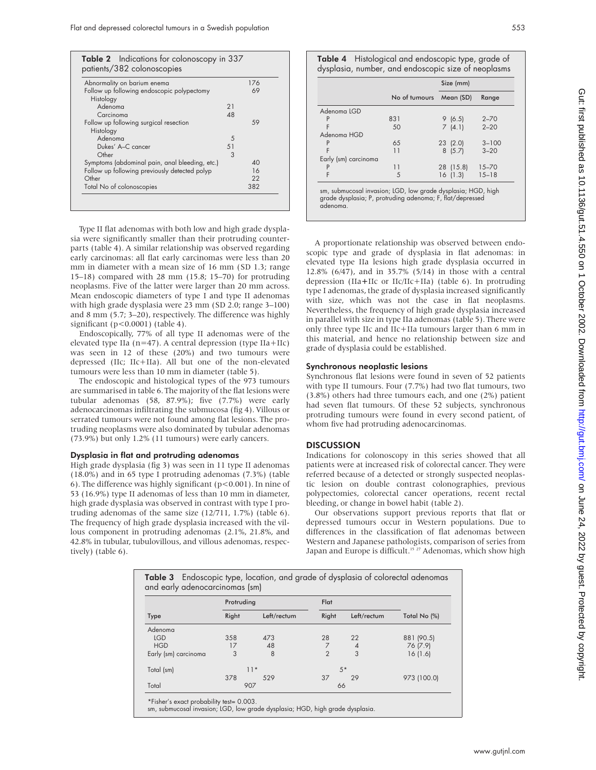| Abnormality on barium enema                    |                       | 176 |
|------------------------------------------------|-----------------------|-----|
| Follow up following endoscopic polypectomy     |                       | 69  |
| Histology                                      |                       |     |
| Adenoma                                        | 21                    |     |
| Carcinoma                                      | $\Delta$ <sup>8</sup> |     |
| Follow up following surgical resection         |                       | 59  |
| Histology                                      |                       |     |
| Adenoma                                        | 5                     |     |
| Dukes' A-C cancer                              | 51                    |     |
| Other                                          | 3                     |     |
| Symptoms (abdominal pain, anal bleeding, etc.) |                       | 40  |
| Follow up following previously detected polyp  |                       | 16  |
| Other                                          |                       | 22  |
| Total No of colonoscopies                      |                       | 382 |

Type II flat adenomas with both low and high grade dysplasia were significantly smaller than their protruding counterparts (table 4). A similar relationship was observed regarding early carcinomas: all flat early carcinomas were less than 20 mm in diameter with a mean size of 16 mm (SD 1.3; range 15–18) compared with 28 mm (15.8; 15–70) for protruding neoplasms. Five of the latter were larger than 20 mm across. Mean endoscopic diameters of type I and type II adenomas with high grade dysplasia were 23 mm (SD 2.0; range 3–100) and 8 mm (5.7; 3–20), respectively. The difference was highly significant (p<0.0001) (table 4).

Endoscopically, 77% of all type II adenomas were of the elevated type IIa ( $n=47$ ). A central depression (type IIa+IIc) was seen in 12 of these (20%) and two tumours were depressed (IIc; IIc+IIa). All but one of the non-elevated tumours were less than 10 mm in diameter (table 5).

The endoscopic and histological types of the 973 tumours are summarised in table 6. The majority of the flat lesions were tubular adenomas (58, 87.9%); five (7.7%) were early adenocarcinomas infiltrating the submucosa (fig 4). Villous or serrated tumours were not found among flat lesions. The protruding neoplasms were also dominated by tubular adenomas (73.9%) but only 1.2% (11 tumours) were early cancers.

#### Dysplasia in flat and protruding adenomas

High grade dysplasia (fig 3) was seen in 11 type II adenomas (18.0%) and in 65 type I protruding adenomas (7.3%) (table 6). The difference was highly significant (p<0.001). In nine of 53 (16.9%) type II adenomas of less than 10 mm in diameter, high grade dysplasia was observed in contrast with type I protruding adenomas of the same size (12/711, 1.7%) (table 6). The frequency of high grade dysplasia increased with the villous component in protruding adenomas (2.1%, 21.8%, and 42.8% in tubular, tubulovillous, and villous adenomas, respectively) (table 6).

| Table 4 Histological and endoscopic type, grade of  |
|-----------------------------------------------------|
| dysplasia, number, and endoscopic size of neoplasms |

|                                                                                                                           | Size (mm)     |           |           |
|---------------------------------------------------------------------------------------------------------------------------|---------------|-----------|-----------|
|                                                                                                                           | No of tumours | Mean (SD) | Range     |
| Adenoma LGD                                                                                                               |               |           |           |
|                                                                                                                           | 831           | 9(6.5)    | $2 - 70$  |
|                                                                                                                           | 50            | 7(4.1)    | $2 - 20$  |
| Adenoma HGD                                                                                                               |               |           |           |
|                                                                                                                           | 65            | 23(2.0)   | $3 - 100$ |
| F                                                                                                                         | 11            | 8(5.7)    | $3 - 20$  |
| Early (sm) carcinoma                                                                                                      |               |           |           |
|                                                                                                                           | 11            | 28 (15.8) | $15 - 70$ |
| F                                                                                                                         | 5             | 16(1.3)   | $15 - 18$ |
| sm, submucosal invasion; LGD, low grade dysplasia; HGD, high<br>grade dysplasia; P, protruding adenoma; F, flat/depressed |               |           |           |

A proportionate relationship was observed between endoscopic type and grade of dysplasia in flat adenomas: in elevated type IIa lesions high grade dysplasia occurred in 12.8% (6/47), and in 35.7% (5/14) in those with a central depression (IIa*+*IIc or IIc/IIc+IIa) (table 6). In protruding type I adenomas, the grade of dysplasia increased significantly with size, which was not the case in flat neoplasms. Nevertheless, the frequency of high grade dysplasia increased in parallel with size in type IIa adenomas (table 5). There were only three type IIc and IIc+IIa tumours larger than 6 mm in this material, and hence no relationship between size and grade of dysplasia could be established.

#### Synchronous neoplastic lesions

Synchronous flat lesions were found in seven of 52 patients with type II tumours. Four (7.7%) had two flat tumours, two (3.8%) others had three tumours each, and one (2%) patient had seven flat tumours. Of these 52 subjects, synchronous protruding tumours were found in every second patient, of whom five had protruding adenocarcinomas.

#### **DISCUSSION**

adenoma.

Indications for colonoscopy in this series showed that all patients were at increased risk of colorectal cancer. They were referred because of a detected or strongly suspected neoplastic lesion on double contrast colonographies, previous polypectomies, colorectal cancer operations, recent rectal bleeding, or change in bowel habit (table 2).

Our observations support previous reports that flat or depressed tumours occur in Western populations. Due to differences in the classification of flat adenomas between Western and Japanese pathologists, comparison of series from Japan and Europe is difficult.<sup>15 27</sup> Adenomas, which show high

|                      | Protruding |             | Flat           |                |              |
|----------------------|------------|-------------|----------------|----------------|--------------|
| <b>Type</b>          | Right      | Left/rectum | Right          | Left/rectum    | Total No (%) |
| Adenoma              |            |             |                |                |              |
| <b>LGD</b>           | 358        | 473         | 28             | 22             | 881 (90.5)   |
| <b>HGD</b>           | 17         | 48          |                | $\overline{4}$ | 76 (7.9)     |
| Early (sm) carcinoma | 3          | 8           | $\mathfrak{D}$ | 3              | 16(1.6)      |
| Total (sm)           | $11*$      |             | $5*$           |                |              |
|                      | 378        | 529         | 37             | 29             | 973 (100.0)  |
| Total                | 907        |             | 66             |                |              |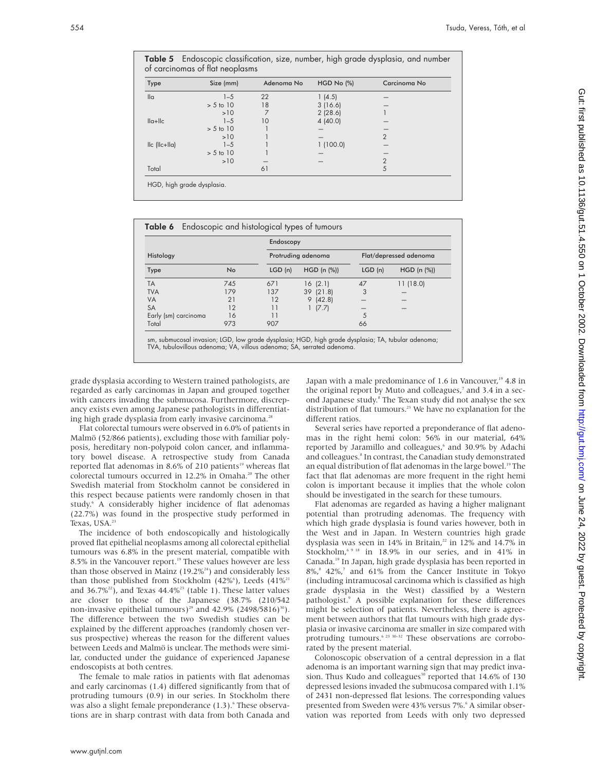| <b>Type</b>                          | Size (mm)   | Adenoma No | $HGD No$ $%$ | Carcinoma No   |
|--------------------------------------|-------------|------------|--------------|----------------|
| $\mathsf{II} \alpha$                 | $1 - 5$     | 22         | 1(4.5)       |                |
|                                      | $> 5$ to 10 | 18         | 3(16.6)      |                |
|                                      | >10         | 7          | 2(28.6)      |                |
| $\ a+\ c\ $                          | $1 - 5$     | 10         | 4(40.0)      |                |
|                                      | $> 5$ to 10 |            |              |                |
|                                      | >10         |            |              | $\overline{2}$ |
| $I_{\text{c}}$ ( $I_{\text{c+II}}$ ) | $1 - 5$     |            | 1(100.0)     |                |
|                                      | $> 5$ to 10 |            |              |                |
|                                      | >10         |            |              | $\overline{2}$ |
| Total                                |             | 61         |              | 5              |

Table 5 Endoscopic classification, size, number, high grade dysplasia, and number

|                      |     | Endoscopy          |             |                        |             |
|----------------------|-----|--------------------|-------------|------------------------|-------------|
| Histology            |     | Protruding adenoma |             | Flat/depressed adenoma |             |
| Type                 | No  | LGD(n)             | HGD (n (%)) | LGD(n)                 | HGD (n (%)) |
| <b>TA</b>            | 745 | 671                | 16(2.1)     | 47                     | 11(18.0)    |
| <b>TVA</b>           | 179 | 137                | 39 (21.8)   | 3                      |             |
| <b>VA</b>            | 21  | 12                 | 9(42.8)     |                        |             |
| <b>SA</b>            | 12  |                    | (7.7)       |                        |             |
| Early (sm) carcinoma | 16  | 11                 |             | 5                      |             |
| Total                | 973 | 907                |             | 66                     |             |

sm, submucosal invasion; LGD, low grade dysplasia; HGD, high grade dysplasia; TA, tubular adenoma; TVA, tubulovillous adenoma; VA, villous adenoma; SA, serrated adenoma.

grade dysplasia according to Western trained pathologists, are regarded as early carcinomas in Japan and grouped together with cancers invading the submucosa. Furthermore, discrepancy exists even among Japanese pathologists in differentiating high grade dysplasia from early invasive carcinoma.<sup>28</sup>

Flat colorectal tumours were observed in 6.0% of patients in Malmö (52/866 patients), excluding those with familiar polyposis, hereditary non-polypoid colon cancer, and inflammatory bowel disease. A retrospective study from Canada reported flat adenomas in 8.6% of 210 patients<sup>19</sup> whereas flat colorectal tumours occurred in 12.2% in Omaha.<sup>20</sup> The other Swedish material from Stockholm cannot be considered in this respect because patients were randomly chosen in that study.<sup>6</sup> A considerably higher incidence of flat adenomas (22.7%) was found in the prospective study performed in Texas, USA.<sup>23</sup>

The incidence of both endoscopically and histologically proved flat epithelial neoplasms among all colorectal epithelial tumours was 6.8% in the present material, compatible with 8.5% in the Vancouver report.<sup>19</sup> These values however are less than those observed in Mainz  $(19.2\%)$ <sup>24</sup>) and considerably less than those published from Stockholm  $(42\%)$ , Leeds  $(41\%)^2$ and  $36.7\frac{2}{3}$ , and Texas  $44.4\frac{2}{3}$  (table 1). These latter values are closer to those of the Japanese (38.7% (210/542 non-invasive epithelial tumours)<sup>29</sup> and 42.9% (2498/5816)<sup>30</sup>). The difference between the two Swedish studies can be explained by the different approaches (randomly chosen versus prospective) whereas the reason for the different values between Leeds and Malmö is unclear. The methods were similar, conducted under the guidance of experienced Japanese endoscopists at both centres.

The female to male ratios in patients with flat adenomas and early carcinomas (1.4) differed significantly from that of protruding tumours (0.9) in our series. In Stockholm there was also a slight female preponderance (1.3).<sup>6</sup> These observations are in sharp contrast with data from both Canada and

Japan with a male predominance of 1.6 in Vancouver,<sup>19</sup> 4.8 in the original report by Muto and colleagues,<sup>7</sup> and 3.4 in a second Japanese study.<sup>8</sup> The Texan study did not analyse the sex distribution of flat tumours.<sup>23</sup> We have no explanation for the different ratios.

Several series have reported a preponderance of flat adenomas in the right hemi colon: 56% in our material, 64% reported by Jaramillo and colleagues,<sup>6</sup> and 30.9% by Adachi and colleagues.<sup>8</sup> In contrast, the Canadian study demonstrated an equal distribution of flat adenomas in the large bowel.<sup>19</sup> The fact that flat adenomas are more frequent in the right hemi colon is important because it implies that the whole colon should be investigated in the search for these tumours.

Flat adenomas are regarded as having a higher malignant potential than protruding adenomas. The frequency with which high grade dysplasia is found varies however, both in the West and in Japan. In Western countries high grade dysplasia was seen in 14% in Britain,<sup>22</sup> in 12% and 14.7% in Stockholm,<sup>6 9 18</sup> in 18.9% in our series, and in 41% in Canada.19 In Japan, high grade dysplasia has been reported in  $8\%,^8$  42%,<sup>7</sup> and 61% from the Cancer Institute in Tokyo (including intramucosal carcinoma which is classified as high grade dysplasia in the West) classified by a Western pathologist.9 A possible explanation for these differences might be selection of patients. Nevertheless, there is agreement between authors that flat tumours with high grade dysplasia or invasive carcinoma are smaller in size compared with protruding tumours.<sup>6 23 30–32</sup> These observations are corroborated by the present material.

Colonoscopic observation of a central depression in a flat adenoma is an important warning sign that may predict invasion. Thus Kudo and colleagues<sup>30</sup> reported that 14.6% of 130 depressed lesions invaded the submucosa compared with 1.1% of 2431 non-depressed flat lesions. The corresponding values presented from Sweden were 43% versus 7%.<sup>6</sup> A similar observation was reported from Leeds with only two depressed